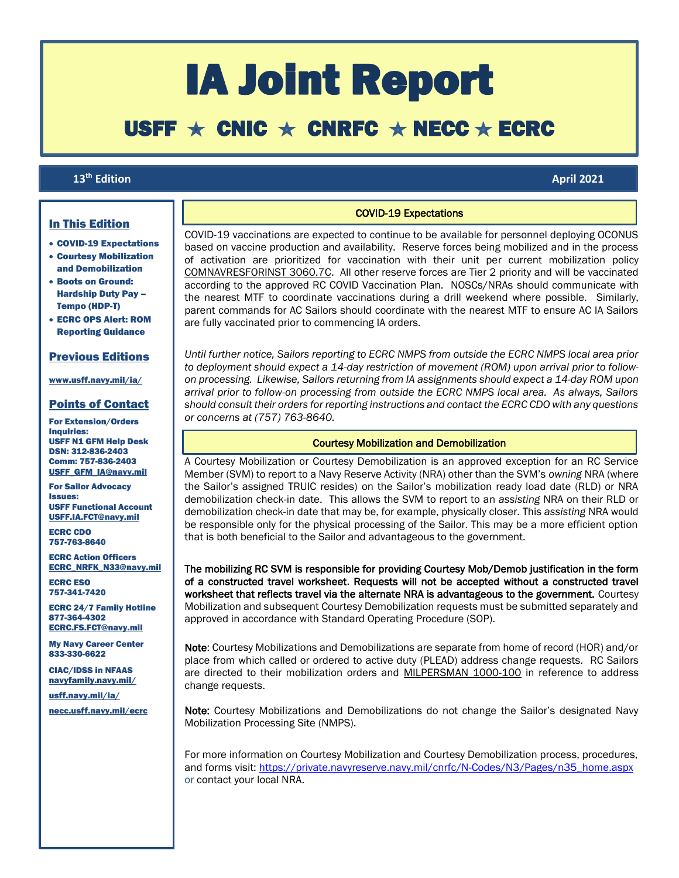# IA Joint Report

# USFF  $\star$  CNIC  $\star$  CNRFC  $\star$  NECC  $\star$  ECRC

# 13<sup>th</sup> Edition

# **th Edition April 2021**

# In This Edition

ſ

- COVID-19 Expectations
- Courtesy Mobilization and Demobilization
- Boots on Ground: Hardship Duty Pay – Tempo (HDP-T)
- ECRC OPS Alert: ROM Reporting Guidance

#### Previous Editions

[www.usff.navy.mil/ia/](https://www.usff.navy.mil/ia/)

#### Points of Contact

For Extension/Orders Inquiries: USFF N1 GFM Help Desk DSN: 312-836-2403 Comm: 757-836-2403 [USFF\\_GFM\\_IA@navy.mil](mailto:USFF_GFM_IA@navy.mil)

For Sailor Advocacy Issues: USFF Functional Account [USFF.IA.FCT@navy.mil](mailto:USFF.IA.FCT@navy.mil)

ECRC CDO 757-763-8640

ECRC Action Officers [ECRC\\_NRFK\\_N33@navy.mil](mailto:ecrc_nrfk_n33@navy.mil)

ECRC ESO 757-341-7420

ECRC 24/7 Family Hotline 877-364-4302 [ECRC.FS.FCT@navy.mil](mailto:ECRC.FS.FCT@navy.mil)

My Navy Career Center 833-330-6622

CIAC/IDSS in NFAAS [navyfamily.navy.mil/](https://navyfamily.navy.mil/)

[usff.navy.mil/ia/](https://www.usff.navy.mil/ia/)

[necc.usff.navy.mil/ecrc](http://www.necc.usff.navy.mil/ecrc)

COVID-19 vaccinations are expected to continue to be available for personnel deploying OCONUS based on vaccine production and availability. Reserve forces being mobilized and in the process of activation are prioritized for vaccination with their unit per current mobilization policy COMNAVRESFORINST 3060.7C. All other reserve forces are Tier 2 priority and will be vaccinated according to the approved RC COVID Vaccination Plan. NOSCs/NRAs should communicate with the nearest MTF to coordinate vaccinations during a drill weekend where possible. Similarly, parent commands for AC Sailors should coordinate with the nearest MTF to ensure AC IA Sailors are fully vaccinated prior to commencing IA orders.

**COVID-19 Expectations** 

*Until further notice, Sailors reporting to ECRC NMPS from outside the ECRC NMPS local area prior to deployment should expect a 14-day restriction of movement (ROM) upon arrival prior to followon processing. Likewise, Sailors returning from IA assignments should expect a 14-day ROM upon arrival prior to follow-on processing from outside the ECRC NMPS local area. As always, Sailors should consult their orders for reporting instructions and contact the ECRC CDO with any questions or concerns at (757) 763-8640.*

#### Courtesy Mobilization and Demobilization

A Courtesy Mobilization or Courtesy Demobilization is an approved exception for an RC Service Member (SVM) to report to a Navy Reserve Activity (NRA) other than the SVM's *owning* NRA (where the Sailor's assigned TRUIC resides) on the Sailor's mobilization ready load date (RLD) or NRA demobilization check-in date. This allows the SVM to report to an *assisting* NRA on their RLD or demobilization check-in date that may be, for example, physically closer. This *assisting* NRA would be responsible only for the physical processing of the Sailor. This may be a more efficient option that is both beneficial to the Sailor and advantageous to the government.

The mobilizing RC SVM is responsible for providing Courtesy Mob/Demob justification in the form of a constructed travel worksheet. Requests will not be accepted without a constructed travel worksheet that reflects travel via the alternate NRA is advantageous to the government. Courtesy Mobilization and subsequent Courtesy Demobilization requests must be submitted separately and approved in accordance with Standard Operating Procedure (SOP).

Note: Courtesy Mobilizations and Demobilizations are separate from home of record (HOR) and/or place from which called or ordered to active duty (PLEAD) address change requests. RC Sailors are directed to their mobilization orders and MILPERSMAN 1000-100 in reference to address change requests.

Note: Courtesy Mobilizations and Demobilizations do not change the Sailor's designated Navy Mobilization Processing Site (NMPS).

For more information on Courtesy Mobilization and Courtesy Demobilization process, procedures, and forms visit: [https://private.navyreserve.navy.mil/cnrfc/N-Codes/N3/Pages/n35\\_home.aspx](https://private.navyreserve.navy.mil/cnrfc/N-Codes/N3/Pages/n35_home.aspx) or contact your local NRA.